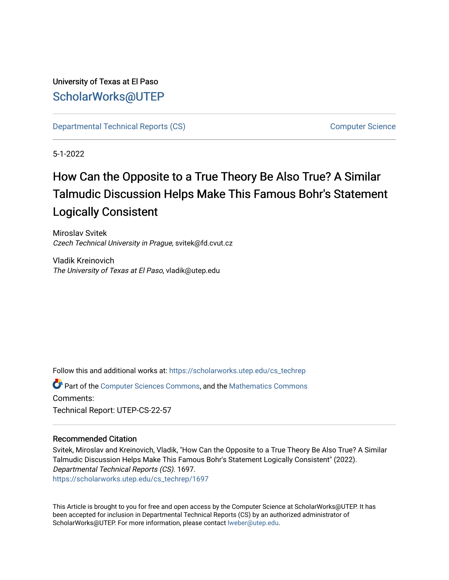## University of Texas at El Paso [ScholarWorks@UTEP](https://scholarworks.utep.edu/)

[Departmental Technical Reports \(CS\)](https://scholarworks.utep.edu/cs_techrep) [Computer Science](https://scholarworks.utep.edu/computer) 

5-1-2022

# How Can the Opposite to a True Theory Be Also True? A Similar Talmudic Discussion Helps Make This Famous Bohr's Statement Logically Consistent

Miroslav Svitek Czech Technical University in Prague, svitek@fd.cvut.cz

Vladik Kreinovich The University of Texas at El Paso, vladik@utep.edu

Follow this and additional works at: [https://scholarworks.utep.edu/cs\\_techrep](https://scholarworks.utep.edu/cs_techrep?utm_source=scholarworks.utep.edu%2Fcs_techrep%2F1697&utm_medium=PDF&utm_campaign=PDFCoverPages) 

Part of the [Computer Sciences Commons](https://network.bepress.com/hgg/discipline/142?utm_source=scholarworks.utep.edu%2Fcs_techrep%2F1697&utm_medium=PDF&utm_campaign=PDFCoverPages), and the [Mathematics Commons](https://network.bepress.com/hgg/discipline/174?utm_source=scholarworks.utep.edu%2Fcs_techrep%2F1697&utm_medium=PDF&utm_campaign=PDFCoverPages)  Comments: Technical Report: UTEP-CS-22-57

### Recommended Citation

Svitek, Miroslav and Kreinovich, Vladik, "How Can the Opposite to a True Theory Be Also True? A Similar Talmudic Discussion Helps Make This Famous Bohr's Statement Logically Consistent" (2022). Departmental Technical Reports (CS). 1697. [https://scholarworks.utep.edu/cs\\_techrep/1697](https://scholarworks.utep.edu/cs_techrep/1697?utm_source=scholarworks.utep.edu%2Fcs_techrep%2F1697&utm_medium=PDF&utm_campaign=PDFCoverPages) 

This Article is brought to you for free and open access by the Computer Science at ScholarWorks@UTEP. It has been accepted for inclusion in Departmental Technical Reports (CS) by an authorized administrator of ScholarWorks@UTEP. For more information, please contact [lweber@utep.edu](mailto:lweber@utep.edu).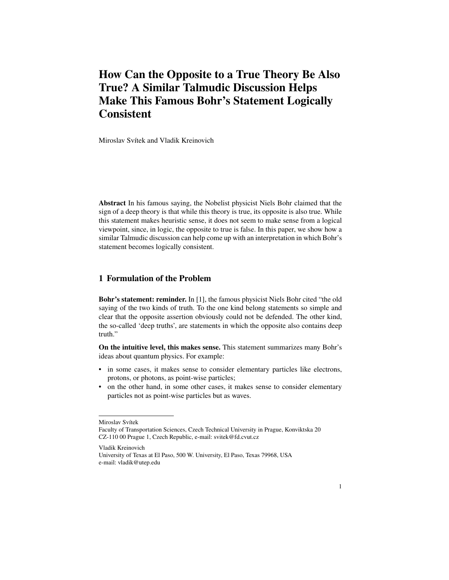## **How Can the Opposite to a True Theory Be Also True? A Similar Talmudic Discussion Helps Make This Famous Bohr's Statement Logically Consistent**

Miroslav Svítek and Vladik Kreinovich

**Abstract** In his famous saying, the Nobelist physicist Niels Bohr claimed that the sign of a deep theory is that while this theory is true, its opposite is also true. While this statement makes heuristic sense, it does not seem to make sense from a logical viewpoint, since, in logic, the opposite to true is false. In this paper, we show how a similar Talmudic discussion can help come up with an interpretation in which Bohr's statement becomes logically consistent.

#### **1 Formulation of the Problem**

**Bohr's statement: reminder.** In [1], the famous physicist Niels Bohr cited "the old saying of the two kinds of truth. To the one kind belong statements so simple and clear that the opposite assertion obviously could not be defended. The other kind, the so-called 'deep truths', are statements in which the opposite also contains deep truth."

**On the intuitive level, this makes sense.** This statement summarizes many Bohr's ideas about quantum physics. For example:

- in some cases, it makes sense to consider elementary particles like electrons, protons, or photons, as point-wise particles;
- on the other hand, in some other cases, it makes sense to consider elementary particles not as point-wise particles but as waves.

Vladik Kreinovich University of Texas at El Paso, 500 W. University, El Paso, Texas 79968, USA e-mail: vladik@utep.edu

Miroslav Svítek

Faculty of Transportation Sciences, Czech Technical University in Prague, Konviktska 20 CZ-110 00 Prague 1, Czech Republic, e-mail: svitek@fd.cvut.cz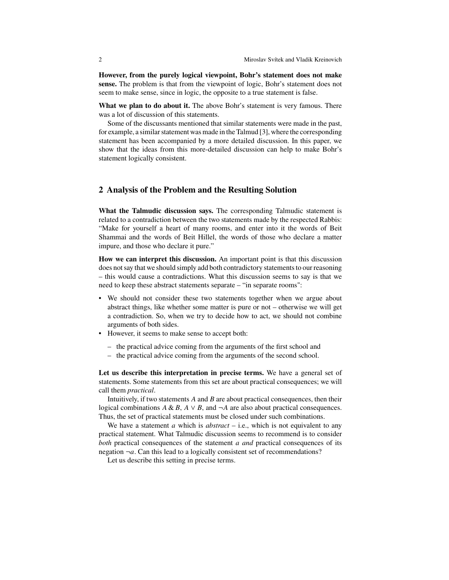**However, from the purely logical viewpoint, Bohr's statement does not make sense.** The problem is that from the viewpoint of logic, Bohr's statement does not seem to make sense, since in logic, the opposite to a true statement is false.

**What we plan to do about it.** The above Bohr's statement is very famous. There was a lot of discussion of this statements.

Some of the discussants mentioned that similar statements were made in the past, for example, a similar statement was made in the Talmud [3], where the corresponding statement has been accompanied by a more detailed discussion. In this paper, we show that the ideas from this more-detailed discussion can help to make Bohr's statement logically consistent.

#### **2 Analysis of the Problem and the Resulting Solution**

**What the Talmudic discussion says.** The corresponding Talmudic statement is related to a contradiction between the two statements made by the respected Rabbis: "Make for yourself a heart of many rooms, and enter into it the words of Beit Shammai and the words of Beit Hillel, the words of those who declare a matter impure, and those who declare it pure."

**How we can interpret this discussion.** An important point is that this discussion does not say that we should simply add both contradictory statements to our reasoning – this would cause a contradictions. What this discussion seems to say is that we need to keep these abstract statements separate – "in separate rooms":

- We should not consider these two statements together when we argue about abstract things, like whether some matter is pure or not – otherwise we will get a contradiction. So, when we try to decide how to act, we should not combine arguments of both sides.
- However, it seems to make sense to accept both:
	- the practical advice coming from the arguments of the first school and
	- the practical advice coming from the arguments of the second school.

**Let us describe this interpretation in precise terms.** We have a general set of statements. Some statements from this set are about practical consequences; we will call them *practical*.

Intuitively, if two statements  $A$  and  $B$  are about practical consequences, then their logical combinations  $A \& B$ ,  $A \lor B$ , and  $\neg A$  are also about practical consequences. Thus, the set of practical statements must be closed under such combinations.

We have a statement  $\alpha$  which is  $abstract - i.e.,$  which is not equivalent to any practical statement. What Talmudic discussion seems to recommend is to consider *both* practical consequences of the statement  $a$  and practical consequences of its negation  $\neg a$ . Can this lead to a logically consistent set of recommendations?

Let us describe this setting in precise terms.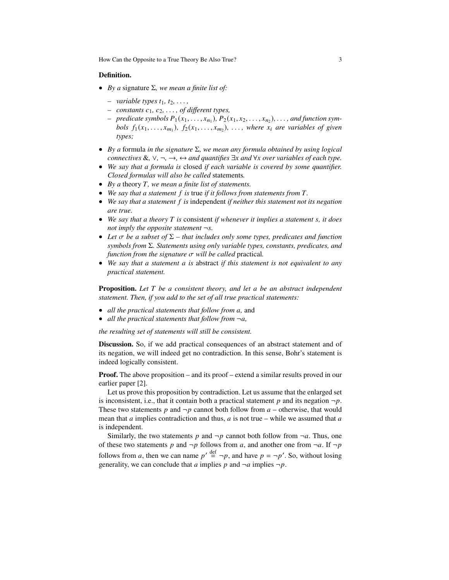How Can the Opposite to a True Theory Be Also True? 3

#### **Definition.**

- *• By a* signature Σ*, we mean a finite list of:*
	- *– variable types*  $t_1, t_2, \ldots$ ,
	- $-$  *constants*  $c_1, c_2, \ldots$ , *of different types,*
	- $-$  *predicate symbols*  $P_1(x_1,...,x_{n_1})$ ,  $P_2(x_1,x_2,...,x_{n_2})$ , ..., and function sym*bols*  $f_1(x_1,...,x_{m_1})$ ,  $f_2(x_1,...,x_{m_2})$ , ..., where  $x_i$  are variables of given *types;*
- *• By a* formula *in the signature* Σ*, we mean any formula obtained by using logical connectives* &,  $\vee$ ,  $\neg$ ,  $\rightarrow$ ,  $\leftrightarrow$  *and quantifies*  $\exists x$  *and*  $\forall x$  *over variables of each type.*
- *• We say that a formula is* closed *if each variable is covered by some quantifier. Closed formulas will also be called* statements*.*
- *By a theory T, we mean a finite list of statements.*
- We say that a statement f is true *if it follows from statements from* T.
- *• We say that a statement is* independent *if neither this statement not its negation are true.*
- *• We say that a theory is* consistent *if whenever it implies a statement , it does not imply the opposite statement* ¬*.*
- *• Let be a subset of* Σ  *that includes only some types, predicates and function symbols from* Σ*. Statements using only variable types, constants, predicates, and function from the signature*  $\sigma$  *will be called* practical.
- *• We say that a statement is* abstract *if this statement is not equivalent to any practical statement.*

**Proposition.** Let T be a consistent theory, and let a be an abstract independent *statement. Then, if you add to the set of all true practical statements:*

- *all the practical statements that follow from <i>a*, and
- *all the practical statements that follow from*  $\neg a$ ,

*the resulting set of statements will still be consistent.*

**Discussion.** So, if we add practical consequences of an abstract statement and of its negation, we will indeed get no contradiction. In this sense, Bohr's statement is indeed logically consistent.

**Proof.** The above proposition – and its proof – extend a similar results proved in our earlier paper [2].

Let us prove this proposition by contradiction. Let us assume that the enlarged set is inconsistent, i.e., that it contain both a practical statement  $p$  and its negation  $\neg p$ . These two statements p and  $\neg p$  cannot both follow from  $a$  – otherwise, that would mean that  $a$  implies contradiction and thus,  $a$  is not true – while we assumed that  $a$ is independent.

Similarly, the two statements p and  $\neg p$  cannot both follow from  $\neg a$ . Thus, one of these two statements p and  $\neg p$  follows from a, and another one from  $\neg a$ . If  $\neg p$ follows from a, then we can name  $p' \stackrel{\text{def}}{=} \neg p$ , and have  $p = \neg p'$ . So, without losing generality, we can conclude that a implies p and  $\neg a$  implies  $\neg p$ .